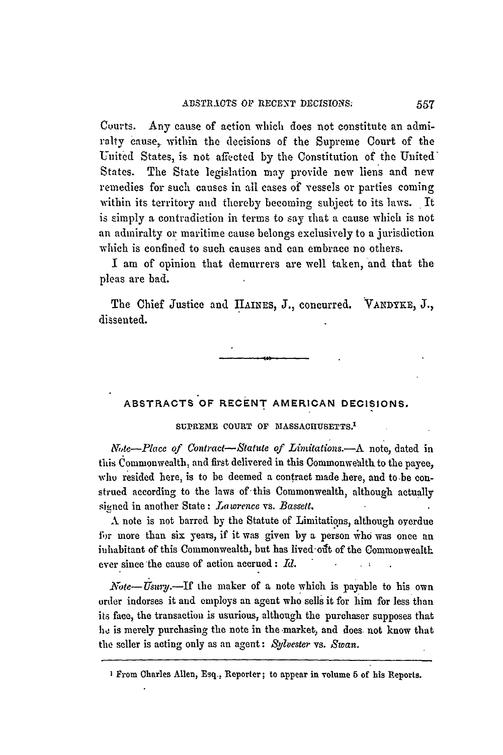Courts. Any cause of action which does not constitute an admiralty cause, within the decisions of the Supreme Court of the United States, is not affected by the Constitution of the United' States. The State legislation may provide new liens and new remedies for such causes in all cases of vessels or parties coming within its territory and thereby becoming subject to its laws. It is simply a contradiction in terms to say that a cause which is not an admiralty or maritime cause belongs exclusively to a jurisdiction which is confined to such causes and can embrace no others.

I am of opinion that demurrers are well taken, and that the pleas are bad.

The Chief Justice and **IIAINES, J.,** concurred. **VANDYE,** J., dissented.

# **ABSTRACTS OF RECENT AMERICAN DECISIONS.**

## SUPREME COURT OF MASSACHUSETTS.<sup>1</sup>

*r,te-Place of Contract-Statute of Limitations.-A* note, dated in this Commonwealth, and first delivered in this Commonwealth to the payee, who resided here, is to be deemed a contract made here, and to be construed according to the laws of this Commonwealth, although actually siened in another State: *Lawrence* vs. *Bassett.*

**A** note is not barred by the Statute of Limitations, although oyerdue for more than six years, if it was given by a person who was once an inhabitant of this Commonwealth, but has lived out of the Commonwealth ever since'the cause of action accrued: *Id.*

*Note-Usury.*-If the maker of a note which is payable to his own order indorses it and employs an agent who sells it for him for less than its face, the transaction is usurious, although the purchaser supposes that he is merely purchasing the note in the market, and does not know that the seller is acting only as an agent: *Sylvester* vs. *Swan.*

I From Charles Allen, Esq., Reporter; to appear in volume **5** of his Reports.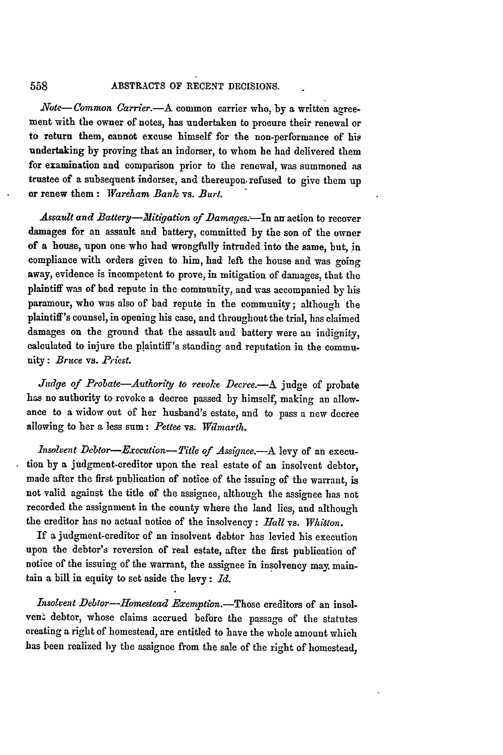*Note-Common Carrier.*-- A common carrier who, by a written agreement with the owner of notes, has undertaken to procure their renewal or to return them, cannot excuse himself for the non-performance of his undertaking **by** proving that an indorser, to whom he had delivered them for examination and comparison prior to the renewal, was summoned as trustee of a subsequent indorser, and thereupon. refused to give them up or renew them: *Wareham Bank vs. Burt.*

Assault and Battery-*-Mitigation of Damages.*--In an action to recover damages for an assault and battery, committed **by** the son of the owner of a house, upon one who had wrongfully intruded into the same, but, in compliance with orders given to him, had left the house and was going away, evidence is incompetent to prove, in mitigation of damages, that the plaintiff was of bad repute in the community, and was accompanied **by** his paramour, who was also of bad repute in the community; although the plaintiff's counsel, in opening his case, and throughout the trial, has claimed damages on the ground that the assault and battery were an indignity, calculated to injure the plaintiff's standing and reputation in the community: *Bruce* vs. *Priest.*

*Judge of Probate-Authority to revoke Decree.-A* **judge** of probate has no authority to revoke a decree passed **by** himself, making an allowance to a widow out of her husband's estate, and to pass a new decree allowing to her a less sum: *Pettee* vs. *Wtmarth.*

*Insolvent Debtor-Execution- Title of Assignee.-A* levy of an execution **by** a judgment-creditor upon the real estate of an insolvent debtor, made after the first publication of notice of the issuing of the warrant, is not valid against the title of the assignee, although the assignee has not recorded the assignment in the county where the land lies, and although the creditor has no actual notice of the insolvency: *Hall* vs. *Whitton.*

If a judgment-creditor of an insolvent debtor has levied his execution upon the debtor's reversion of real estate, after the first publication of notice of the issuing of the warrant, the assignee in insolvency may. maintain a bill in equity to set aside the levy: *Id.*

*Insolvent Debtor-Homestead* Exemption.-Those creditors of an insolven' debtor, whose claims accrued before the passage of the statutes creating a right of homestead, are entitled to have the whole amount which has been realized by the assignee from the sale of the right of homestead,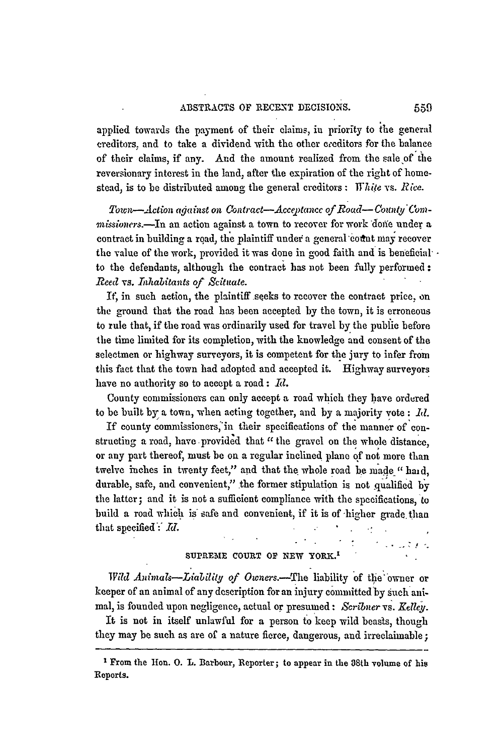applied towards the payment of their claims, in priority to the general creditors, and to take a dividend with the other ereditors for the balance of their claims, if any. **And** the amount realized from the sale **'of** the reversionary interest in the land, after the expiration of the right of homestead, is to be distributed among the general creditors: *Thie* vs. *Rice.*

Town-Action against on Contract-Acceptance of Road-County Com*missioners.*-In an action against a town to recover for work done under a contract in building a road, the plaintiff under a general count may recover the value of the work, provided it was done in good faith and is beneficial' • to the defendants, although the contract has not been fully performed: *Reed* vs. *Inhabitants of Scituate.*

If, in such action, the plaintiff seeks to recover the contract price, on the ground that the road has been accepted by the town, it is erroneous to rule that, if the road was ordinarily used for travel by the public before the time limited for its completion, with the knowledge and consent of the selectmen or highway surveyors, it is competent for the jury to infer from this fact that the town had adopted and accepted it. Highway surveyors have no authority so to accept a road: *IR.*

County commissioners can only accept a road which they have ordered to be built **by** a town, when acting together, and by a majority vote: *Id.*

If county commissioners **'in** their specifications of the manner of constructing a road, have provided that *"the* gravel on the whole distance, or any part thereof, must be on a regular inclined plane of not more than twelve inches in twenty feet," and that the whole road be made "haid, durable, safe, and convenient," the former stipulation is not qualified **b'y** the latter; and it is not a sufficient compliance with the specifications, to build a road which is safe and convenient, if it is of higher grade than that specified: *Id.*  $\mathcal{F}^{\mathcal{G}}_{\mathcal{G}}$  and  $\mathcal{F}^{\mathcal{G}}_{\mathcal{G}}$ 

## **SUPREME COURT OF NEW YORK.'**

t skustes

*Wild Animals-Liability of Owners.*-The liability of the owner or keeper of an animal of any description for an injury committed by sueh animal, is founded upon negligence, actual or presumed: *Scribner vs. Kelley.*

It is not in itself unlawful for a person to keep wild beasts, though they may be such as are of a nature fierce, dangerous, and irreclaimable;

From the Ion. **0.** *L.* Barbour, Reporter; to appear in the 38th volume of **his** Reports.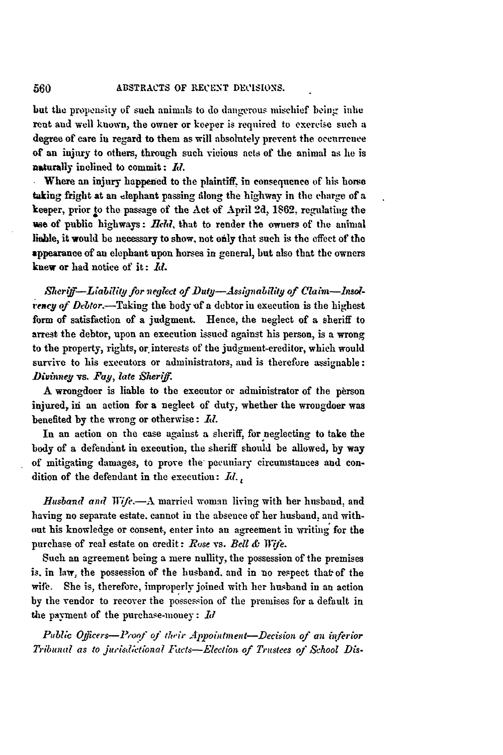but the propensity of such animals to do dangerous mischief being inhe rent and well known, the owner or keeper is required to exercise such a degree of care iu regard to them as will absolutely prevent the occurrence of an injury to others, through such vicious acts of the animal as he is naturally inclined to commit: *Ml.*

Where an injury happened to the plaintiff, in consequence of his horse taking fright at an elephant passing along the highway in the charge of a keeper, prior to the passage of the Act of April **2d, 1862,** regulating the vae of public highways: *Beld,* that to render the owners of the animal liable, it would be necessary to show, not only that such is the effect of the appearance of an elephant upon horses in general, but also that the owners knew or had notice of it:  $\mathbf{M}$ .

*,Shtcr- -Liability for veglect of Dutg-Assguabilt9 of Clam-insolrency of Debtor.*—Taking the body of a debtor in execution is the highest form of satisfaction of a judgment. Hence, the neglect of a sheriff to arrest the debtor, upon an execution issued against his person, is a wrong to the property, rights, or interests of the judgment-creditor, which would survive to his executors or administrators, and is therefore assignable: *)ivinney vs. Fay, late Sherif.*

A wrongdoer is liable to the executor or administrator of the person injured, id an action for a neglect of duty, whether the wrongdoer was benefited **by** the wrong or otherwise: *II.*

In an action on the case against a sheriff, for neglecting to take the body of a defendant in execution, the sheriff should be allowed, **by** way of mitigating damages, to prove the pecuniary circumstances and condition of the defendant in the execution:  $Id_{i}$ 

*Husband and Wife.*-A married woman living with her husband, and having no separate estate, cannot in the absence of her husband, and with. out his knowledge or consent., enter into **an** agreement in writing for the purchase of real estate on credit: *Ruse* vs. *Bell &* Wfe.

Such an agreement being a mere nullity, the possession of the premises is. in law, the possession of the husband, and in no respect thatof the wife. She is, therefore, improperly joined with her husband in an action by the vendor to recover the possession of the premises for a default in the payment of the purchase-money: **Id**

*Public Offlers-l-Poqf of thir Appointment-Decision of an hiferior Tribunal as to jurist;ctional Iacts-Eletion of Trustees of School Dis-*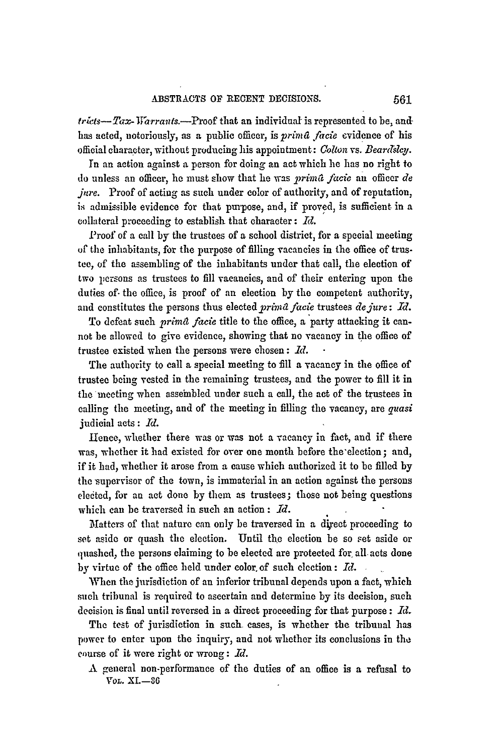*tricts-Tax-Warrants.*--Proof that an individual is represented to be, andhas acted, notoriously, as a public officer, is *primfa fircie* evidence of his official character, without producing his appointment: Colton vs. *Bearlslcy.*

In an action against a person for doing an act which he has no right to do unless an officer, he must show that he was *2rin4t fiacie* an officer *de jure.* Proof of acting as such under color of authority, and of reputation, is admissible evidence for that purpose, and, if proved, is sufficient in a collateral proceeding to establish that character:  $Id.$ 

Proof of a call by the trustees of a school district, for a special meeting of the inhabitants, for the purpose of filling vacancies in the office of trustee, of the assembling of the inhabitants under that call, the election of two 1persons as trustees to fill vacancies, and of their entering upon the duties of- the office, is proof of an election **by** the competent authority, and constitutes the persons thus elected *yrima facie* trustees *dejure: Id.*

To defeat such *primad facie* title to the office, a party attacking it cannot be allowed to give evidence, showing that no vacancy in the office of trustee existed when the persons were chosen : *Id.* **-**

'The authority to call a special meeting to fill a vacancy in the office of trustee being vested in the remaining trustees, and the power to fill it in the'meeting when asseinbled under such a call, the act of the trustees in calling the meeting, and of the meeting in filling the vacancy, are *guasi* judicial acts: *Id.*

Hence, whether there was or was not a vacancy in fact, and if there was, whether it had existed for over one month before the'election; and, if it had, whether it arose from a cause which authorized it to be filled by the supervisor of the town, is immaterial in an action against the persons elected, for an act done by them as trustees; those not being questions which can be traversed in such an action: *Id.*

Matters of that nature can only be traversed in a diyeet proceeding to set aside or quash the election. Until the election be so set aside or quashed, the persons claiming to be elected are protected for all acts done by virtue of **the** office held under color, of such election : *ITd.*

When the jurisdiction of an inferior tribunal depends upon a fact, which such tribunal is required to ascertain and determine by its decision, such decision is final until reversed in a direct proceeding for that purpose: *11.*

The test of jurisdiction in such cases, is whether the tribunal has power to enter upon the inquiry, and not whether its conclusions in **the** course of it were right or wrong: *Id.*

A general non-performance of the duties of an office is a refusal to *VOL.* XI-86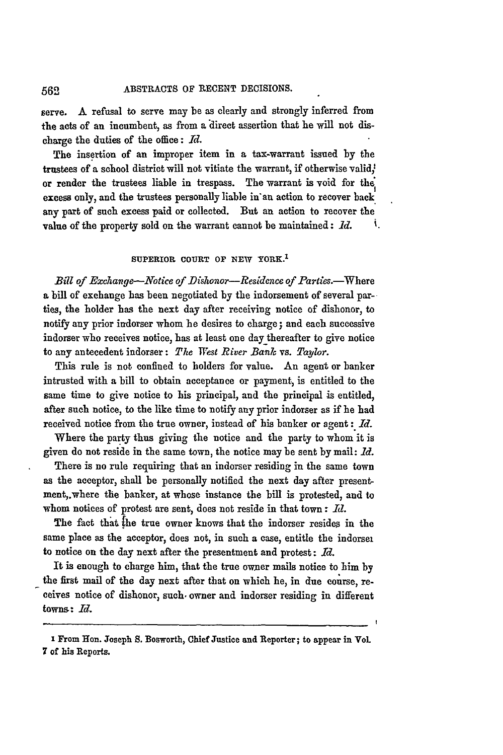serve. A refusal to serve may be as clearly and strongly inferred from the acts of an incumbent, as from **a** direct assertion that he will not discharge the duties of the office: **Id.**

The insertion of an improper item in a tax-warrant issued **by** the trustees of a school district will not vitiate the warrant, if otherwise valid, or render the trustees liable in trespass. The warrant is void for th excess only, and the trustees personally liable in'an action to recover back any part of such excess paid or collected. But an action to recover the value of the property sold on the warrant cannot be maintained: *Id.* **'.**

## SUPERIOR **COURT** OF **NEW** YORK.<sup>1</sup>

*Bill of Exchange--Notice of Dishonor--Residence of Parties.***-Where** a bill of exchange has been negotiated by the indorsement of several parties, the holder has the next day after receiving notice of dishonor, to notify any prior indorser whom he desires to charge; and each successive indorser who receives notice, has at least one day thereafter to give notice to any antecedent indorser: *The West River Bank* vs. *Taylor.*

This rule is not confined to holders for value. An agent or banker intrusted with a bill to obtain acceptance or payment, is entitled to the same time to give notice to his principal, and the principal is entitled, after such notice, to the like time to notify any prior indorser as if he had received notice from the true owner, instead of his banker or agent: *Id.*

Where the party thus giving the notice and the party to whom it is given do not reside in the same town, the notice may be sent by mail: *Id.*

There is no rule requiring that an indorser residing in the same town as the acceptor, shall be personally notified the next day after presentment,.where the banker, at whose instance the bill is protested, and to whom notices of protest are sent, does not reside in that town **:** *Id.*

The fact that the true owner knows that the indorser resides in the same place as the acceptor, does not, in such a case, entitle the indorser to notice on the day next after the presentment and protest: *Id.*

It is enough to charge him, that the true owner mails notice to him **by** the first mail of the day next after that on which he, in due course, receives notice of dishonor, such. owner and indorser residing in different towns: *Id.*

**I** From Hon. Joseph **S.** Bosworth, Chief Justice and Reporter; to appear in VoL **7** of **his** Reports.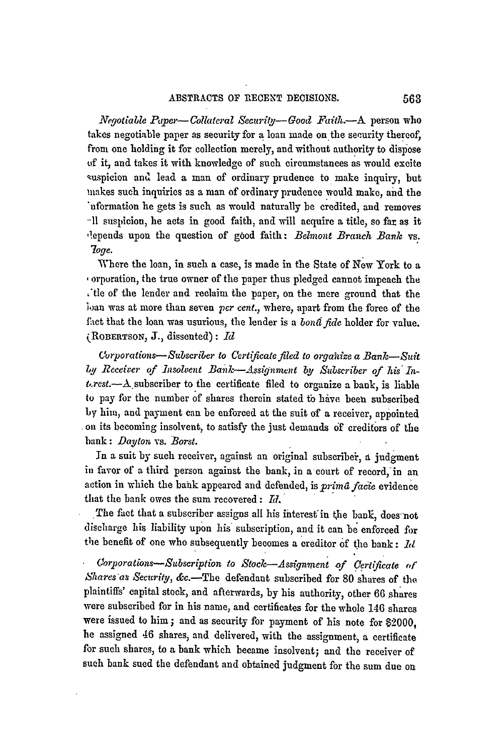*Vegotiable Pqper-Collateral Security- Good Faith.-A* person who takes negotiable paper as security for **a** loan made on the security thereof, from one holding it for collection merely, and without authority to dispose of it, and takes it with knowledge of such circumstances as would excite suspicion and lead a man of ordinary prudence to make inquiry, but .nakes such inquiries as a man of ordinary prudence would make, and the nformation he gets is such as would naturally be credited, and removes **A1** suspicion, he acts in good faith, and will acquire a title, so far as it ,lepends upon the question of good faith: *Belmont Branch Bank* vs. *7oge.*

Where the loan, in such a case, is made in the State of New York to a orporation, the true owner of the paper thus pledged cannot impeach the tle of the lender and reclaim the paper, on the mere ground that the wan was at more than seven *per cent.,* where, apart from the force of the faict that the loan was usurious, the lender is a *bond fide* holder for value.  $(ROBERTSON, J., dissented): Id$ 

*Curporations-Subscriber to Certificate filed to orgaifize a Bank-Suit by Receiver of Insolvent Bailk-Assignment by Subscriber of his In* $t. rest. - A$  subscriber to the certificate filed to organize a bank, is liable to pay for the number of shares therein stated to have been subscribed by him, and payment can be enforced at the suit of a receiver, appointed **oil** its becoming insolvent, to satisfy the just demands **of** creditors of the bank: *Daylon* vs. *Borst.*

In a suit by such receiver, against an original subscribei, **d** judgment in favor of a third person against the bank, in a court of record, in an action in which the bank appeared and defended, is prima facie evidence that the bank owes the sum recovered:  $Id$ .

The fact that a subscriber assigns all his interest in the bank, does not discharge his liability upon his subscription, and it can be enforced for the benefit of one who subsequently becomes a creditor of the bank: *hd* 

*Corporations-Subscription* to *Stock-Assignment of certificate* **of** *Shares'as Security,* &c.-The defendant subscribed for 80 shares of the. plaintiffs' capital stock, and afterwards, **by** his authority, other 66 shares were subscribed for in his name, and certificates for the whole 146 shares were issued to him; and as security for payment of his note for \$2000, he assigned 46 shares, and delivered, with the assignment, a certificate for such shares, to a bank which became insolvent; and the receiver of such bank sued the defendant and obtained judgment for the sum due on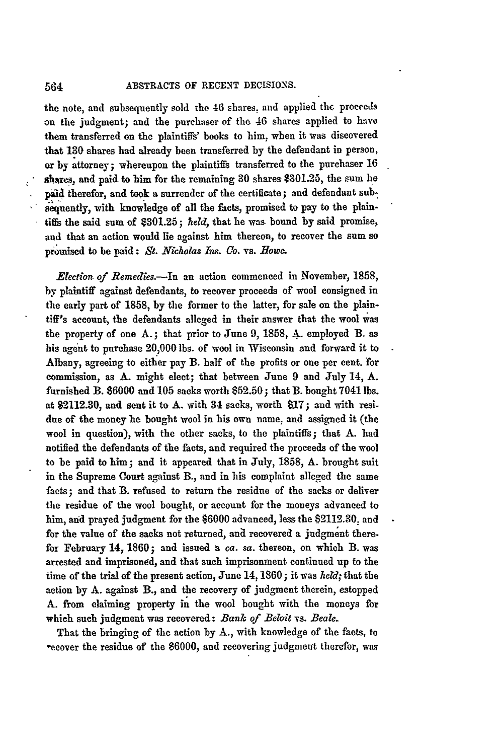the note, and subsequently sold the 46 shares, and applied the proceeds on the judgment; and the purchaser of the 46 shares applied to have them transferred on the plaintiffs' books to him, when it was discovered that **130** shares had already been transferred by the defendant in person, or by attorney; whereupon the plaintiffs transferred to the purchaser **16** shares, and paid to him for the remaining **30** shares \$301.25, the sum he paid therefor, and took a surrender of the certificate; and defendant subsequently, with knowledge of all the facts, promised to pay to the plaintiffs the said sum of \$301.25; held, that he was bound by said promise, and that an action would lie against him thereon, to recover the sum so promised to be paid: *St. Nicholas In. Co.* vs. *Bowa.*

*Election of Remedies.-In* an action commenced in November, 1858, by plaintiff against defendants, to recover proceeds of wool consigned in the early part of 1858, **by** the former to the latter, for sale on the plaintiff's account, the defendants alleged in their answer that the wool was the property of one A.; that prior to June 9, 1858, A. employed B. as his agent to purchase 20,000 lbs. of wool in Wisconsin and forward it to Albany, agreeing to either pay B. half of the profits or one per cent. for commission, as **A.** might elect; that between June 9 and July 14, A. furnished B. \$6000 and **105** sacks worth **\$52.50;** that B. bought 7041 lbs. at \$2112.30, and sent it to A. with 34 sacks, worth \$17; and with residue of the money he bought wool in his own name, and assigned it (the wool in question), with the other sacks, to the plaintiffs; that A. had notified the defendants of the facts, and required the proceeds of the wool to be paid to him; and it appeared that in July, 1858, A. brought suit in the Supreme Court against B., and in his complaint alleged the same facts; and that B. refused to return the residue of the sacks or deliver the residue of the wool bought, or account for the moneys advanced to him, and prayed judgment for the \$6000 advanced, less the \$2112.30, and for the value of the sacks not returned, and recovered a judgment therefor February 14, **1860;** and issued a *ca. sa.* thereon, on which B. was arrested and imprisoned, and that such imprisonment continued up to the time of the trial of the present action, June 14, **1860;** it was *held;* that the action by **A.** against B., and the recovery of judgment therein, estopped A. from claiming property in the wool bought with the moneys for which such judgment was recovered: *Bank of Beloit* vs. *Beale.*

That the bringing of the action by **A.,** with knowledge of the facts, to -ecover the residue of the \$6000, and recovering judgment therefor, was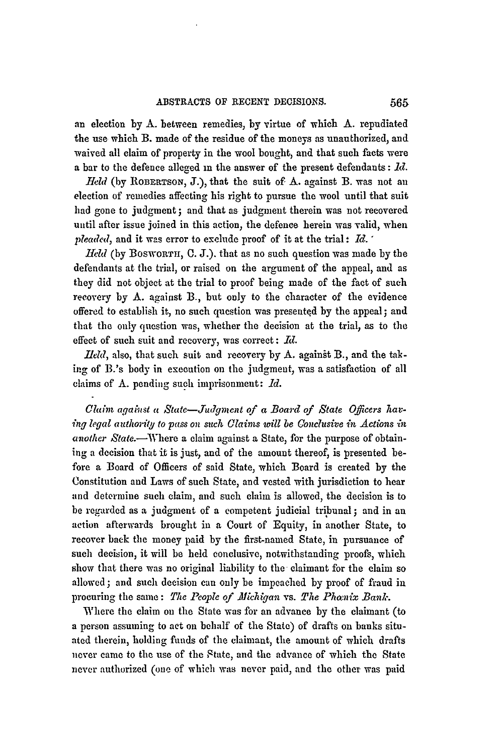an election by **A.** between remedies, **by** virtue of which A. repudiated the **use** which B. made of the residue of the moneys as unauthorized, and waived all claim of property in the wool bought, and that such facts were a bar to the defence alleged in the answer of the present defendants: *d.*

*.Held* (by **ROBERTSON,** J.), that the suit of A. against B. was not an election of remedies affecting his right to pursue the wool until that suit had gone to judgment; and that as judgment therein was not recovered until after issue joined in this action, the defence herein was valid, when *pleaded,* and it was error to exclude proof of it at the trial **- Id.** "

*held* (by BOSWORTH, **0.** J.). that as no such question was made by the defendants at the trial, or raised on the argument of the appeal, and as they did not object at the trial to proof being made of the fact of such recovery **by** A. against B., but only to the character of the evidence offered to establish it, no such question was presented by the appeal; and that the only question was, whether the decision at the trial, as to the effect of such suit and recovery, was correct: *id.*

*Held*, also, that such suit and recovery by  $A$ . against  $B$ ., and the tak**ing** of B.'s body in execution on the judgment, was a satisfaction of all claims of A. pending such imprisonment: **1d.**

*Claim agaist a State-Judgment of a Board of State Officers having legal authority to pass on such Claims will be Conclusive in Actions in* another State.-Where a claim against a State, for the purpose of obtaining a decision that it is just, and of the amount thereof, is presented before a Board of Officers of said State, which Board is created by the Constitution and Laws of such State, and vested with jurisdiction to hear and determine such claim, and such claim is allowed, the decision is to be regarded as **a** judgment of a competent judicial tribunal ; and in an action afterwards brought in a Court of Equity, in another State, to recover back the money paid by the first-named State, in pursuance of such decision, it will be held conclusive, notwithstanding proofs, which show that there was no original liability to the claimant for the claim so allowed; and such decision can only be impeached by proof of fraud in procuring the same: The People of Michigan vs. The Phanix Bank.

Where the claim on the State was for an advance by the claimant (to a person assuming to act on behalf of the State) of drafts on banks situated therein, holding funds of the claimant, the amount of which drafts never came to the use of the State, and the advance of which the State never authorized (one of which was never paid, and the other was paid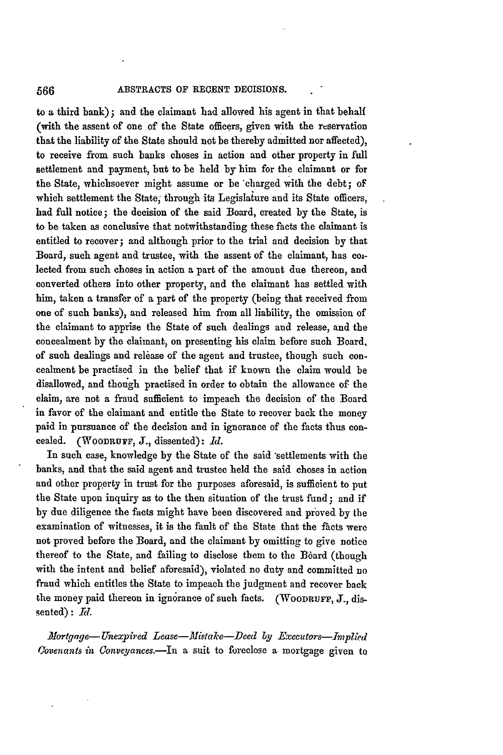to a third bank); and the claimant had allowed his agent in that behalf (with the assent of one of the State officers, given with the reservation that the liability of the State should not be thereby admitted nor affected), to receive from such banks choses in action and other property in full settlement and payment, but to be held **by** him for the claimant or for the State, whichsoever might assume or be charged with the debt; of which settlement the State; through its Legislature and its State officers, had **full** notice; the decision of the said Board, created **by** the State, is to be taken as conclusive that notwithstanding these facts the claimant is entitled to recover; and although prior to the trial and decision **by** that Board, such agent and trustee, with the assent of the claimant, has coilected from such choses in action a part of the amount due thereon, and converted others into other property, and the claimant has settled with him, taken a transfer of a part of the property (being that received from one of such banks), and released him from all liability, the omission of the claimant to apprise the State of such dealings and release, and the concealment **by** the claimant, on presenting his claim before such Board, of such dealings and release of the agent and trustee, though such concealment be practised in the belief that if known the claim would be disallowed, and though practised in order to obtain the allowance of the claim, are not a fraud sufficient to impeach the decision of the Board in favor of the claimant and entitle the State to recover back the money paid in pursuance of the decision and in ignorance of the facts thus concealed. (WooDRUF, **J.,** dissented): *Id.*

In such case, knowledge **by** the State of the said settlements with the banks, and that the said agent and trustee held the said choses in action and other property in trust for the purposes aforesaid, is sufficient to put the State upon inquiry as to the then situation of the trust fund; and if **by** due diligence the facts might have been discovered and proved **by** the examination of witnesses, it is the fault of the State that the faets were not proved before the Board, and the claimant by omitting to give notice thereof to the State, and failing to disclose them to the Board (though with the intent and belief aforesaid), violated no duty and committed no fraud which entitles the State to impeach the judgment and recover back the money paid thereon in ignorance of such facts. (WOODRUFF, J., disseated) **:** *Id.*

*Mortgage- Unexpired Lease-Mistake-Deed* **by** *Executors-Implied Covenants in (onveyances.-In* a suit to foreclose a mortgage given to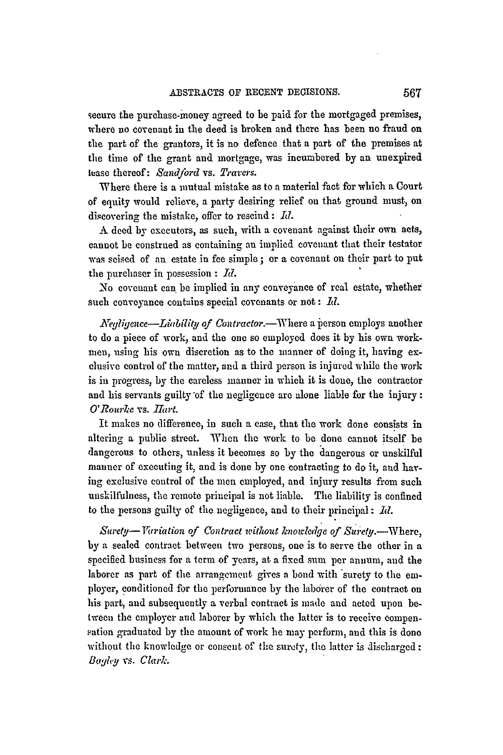seeure the purchase-money agreed to be paid for the mortgaged premises, where no covenant in the deed is broken and there has been no fraud on the part of the grantors, it is no defence that a part of the premises at the time of the grant and mortgage, was incumbered **by** an unexpired lease thereof: *Sandjbrd* vs. *Travers.*

Where there is a mutual mistake as to a material fact for which a Court of equity would relieve, a party desiring relief on that ground must, on dis overing the mistake, offer to rescind: *Id.*

A deed by executors, as such, with a covenant against their own aets, cannot be construed as containing an implied covenant that their testator was scised of an estate in fee simple **;** or a covenant on their part to put the purchaser in possession **:** *Id.*

No covenant can be implied in any conveyance of real estate, whether such conveyance contains special covenants or not: Id.

*Negligence—Liubility of Contractor.*—Where a person employs another to do a piece of work, and the one so employed does it by his own workmen, using his own discretion as to the manner of doing it, having exelusive control of the matter, and a third person is injured while the work is in progress, by the careless manner in which it is done, the contractor and his servants guilty'of **the** negligence are alone liable for the injury: *O'Rourke* vs. *Hart.* 

It makes no difference, in such a ease, that the work done consists in altering a public street. When the work to be done cannot itself be dangerous to others, unless it becomes so by the dangerous or unskilful manner of executing it, and is done by one contracting to do it, and having exclusive control of the men employed, and injury results from such unskilfulness, **the** remote principal is not liable. The liability is confined to the persons guilty of **the** negligence, and to their principal: *Id.*

Surety-Variation of Contract without knowledge of Surety.--Where, by a sealed contract between two persons, one is to serve the other in **a** specified business for a term of years, at a fixed sum per annum, and the laborer as part of the arrangement gives a bond with surety to the employer, conditioned for the performance by the laborer of the contract on his part, and subsequently a verbal contract is made and acted upon between the employer and laborer by which the latter is to receive compensation graduated by the amount of work he may perform, and this is done without the knowledge or consent of the surety, the latter is discharged: *Baley* **vs.** *Clark.*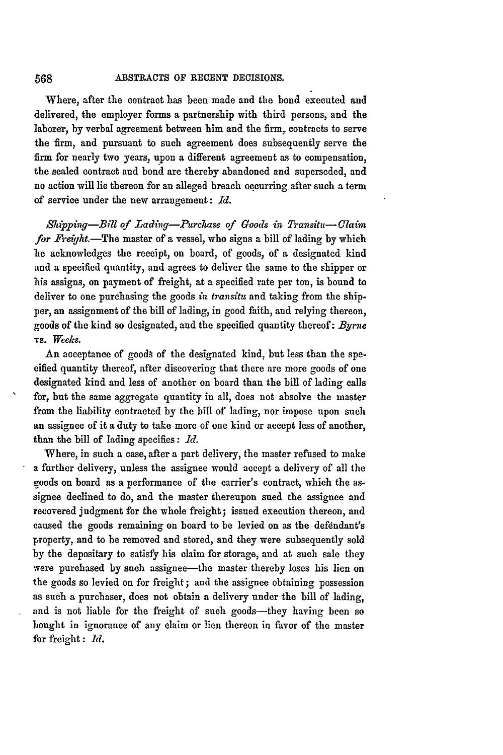Where, after the contract has been made and the bond executed and delivered, the employer forms a partnership with third persons, and the laborer, **by** verbal agreement between him and the firm, contracts to serve the firm, and pursuant to such agreement does subsequently serve the firm for nearly two years, upon a different agreement as to compensation, the sealed contract and bond **are** thereby abandoned and superseded, and no action will lie thereon for an alleged breach occurring after such a term of service under the new arrangement: *Id.*

*Slipping-Bill of Lading-Purchase of Goods in Transiti- Claim for Freight.-The* master of a vessel, who signs a bill of lading by which he acknowledges the receipt, on board, of goods, of a designated kind and a specified quantity, and agrees to deliver the same to the shipper or his assigns, on payment of freight, at a specified rate per ton, is bound to deliver to one purchasing the goods *in transitu* and taking from the shipper, an assignment of the bill of lading, in good faith, and relying thereon, goods of the kind so designated, and the specified quantity thereof: *Byrne* vs. *Wee/cs.*

An acceptance of goods of the designated kind, but less than the specified quantity thereof, after discovering that there are more goods of one designated kind and less of another on board than the bill of lading calls for, but the same aggregate quantity in all, does not absolve the master from the liability contracted by the bill of lading, nor impose upon such an assignee of it a duty to take more of one kind or accept less of another, than the bill of lading specifies: *Id.*

Where, in such a case, after a part delivery, the master refused to make a further delivery, unless the assignee would accept a delivery of all the goods on board as a performance of the carrier's contract, which the assignee declined to do, and the master thereupon sued the assignee and recovered judgment for the whole freight; issued execution thereon, and caused the goods remaining on board to be levied on as the defendant's property, and to be removed and stored, and they were subsequently sold by the depositary to satisfy his claim for storage, and at such sale they were purchased by such assignee-the master thereby loses his lien on the goods so levied on for freight; and the assignee obtaining possession as such a purchaser, does not obtain a delivery under the bill of lading, and is not liable for the freight of such goods-they having been so bought in ignorance of any claim or lien thereon in favor of the master for freight **:** *Id.*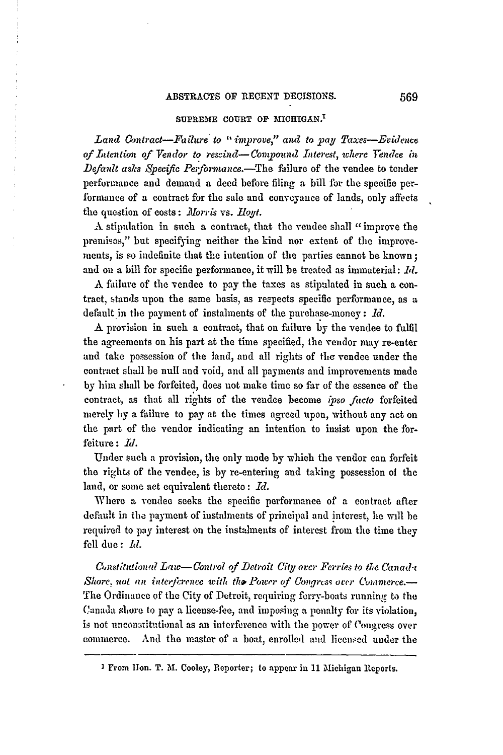### SUPREME COURT OF MICHIGAN.<sup>1</sup>

*Land Oontract-Failure to "improve," and to pay Taxes-Evidence* of Intention of Vendor to rescind-Compound Interest, where Fendee in *Default asks Specific Performance.*—The failure of the vendee to tender performance and demand a deed before filing a bill for the specific performance of a contract for the sale and conveyance of lands, only affects the question of costs: *Morris vs. Hoyt.* 

**A** stipulation in such a contract, that the vendee shall "improve the premises," but specifying neither the kind nor extent of the improvements, is so indefinite that the intention of the parties cannot be known; and on a bill for specific performance, it will be treated as immaterial: *Id.* 

**A** failure of the vendee to pay the taxes as stipulated in such a contract, stands upon the same basis, as respects specific performance, as a default in the payment of instalments of the purchase-money **:** *Id.*

**A** provision in such a contract, that on failure by the vendee to fulfil the agreements on his part at the time specified, the vendor may re-enter and take possession of the land, and all rights of the vendee under the contract shall be null and void, and all payments and improvements made by him shall be forfeited, does not make time so far of the essence of the contract, as that all rights of the vendee become *ipso ficto* forfeited merely by a failure to pay at the times agreed upon, without any act on the part of the vendor indicating an intention to insist upon the forfeiture: *Id.*

Under such a provision, the only mode by which the vendor can forfeit the rights of the vendee, is by re-entering and taking possession of the land, or some act equivalent thereto **:** *Rd.*

Where a vendee seeks the specific performance of a contract after default in the payment of instalments of principal and interest, he will be required to **pay** interest on the instalments of interest from the time they **fell** due: *M.*

*Constitutional Law--Control of Detroit City over Ferries to the Canada Shore, not an interference with the Power of Congress over Commerce.* The Ordinance of the City of Detroit., requiring ferry-boats running to the Canada slore to pay a license-fee, and imposing a penalty for its violation, is not unconstitutional as an interference with the power of Congress over commerce. And the master of a boat, enrolled and licensed under the

I From Non. T. M. Cooley, Reporter; to appear in 11 MIichigan Reports.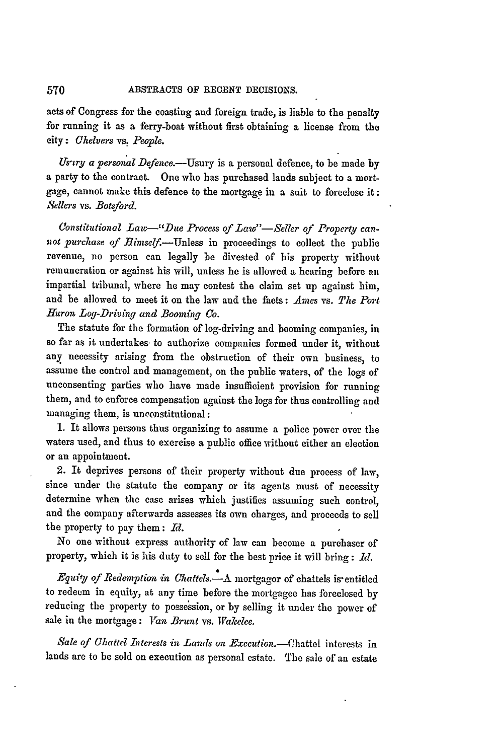acts of Congress for the coasting and foreign trade, is liable to the penalty for running it as a ferry-boat without first obtaining a license from the city: *Ohelvers vs, Beople.*

Us-try *a personal* Defence.-Usury is a personal defence, to be made by a party to the contract. One who has purchased lands subject to a mortgage, cannot make this defence to the mortgage in a suit to foreclose it: *Sellers* vs. *Botsford.*

Constitutional Law-"Due Process of Law"-Seller of Property can*not purchase of Ehnself.-Unless* in proceedings to collect the public revenue, no person can legally be divested of his property without remuneration or against his will, unless he is allowed a hearing before an impartial tribunal, where he may contest the claim set up against him, and be allowed to meet it on the law and the facts: *Ames vs. The Port Huron Log-Driving and Booming* Co.

The statute for the formation of log-driving and booming companies, in so far as it undertakes to authorize companies formed under it, without any necessity arising fiom the obstruction of their own business, to assume the control and management, on the public waters, of the logs of unconsenting parties who have made insufficient provision for running them, and to enforce compensation against the logs for thus controlling and managing them, is unconstitutional:

1. It allows persons thus organizing to assume a police power over the waters used, and thus to exercise a public office without either an election or an appointment.

2. It deprives persons of their property without due process of law, since under the statute the company or its agents must of necessity determine when the case arises which justifies assuming such control, and the company afterwards assesses its own charges, and proceeds to sell the property to pay them: *Id.*

No one without express authority of law can become a purchaser of property, which it is his duty to sell for the best price it will bring: **1d.**

*E'juify of Redemption in Chattels.-A* mortgagor of chattels is entitled to redeem in equity, at any time before the mortgagee has foreclosed by reducing the property to possession, or by selling it under the power of sale in the mortgage: Yan *Brunt* vs. *Wakelee.*

Sale of Chattel Interests in Lands on *Execution*.-Chattel interests in lands are to be sold on execution as personal estate. The sale of an estate